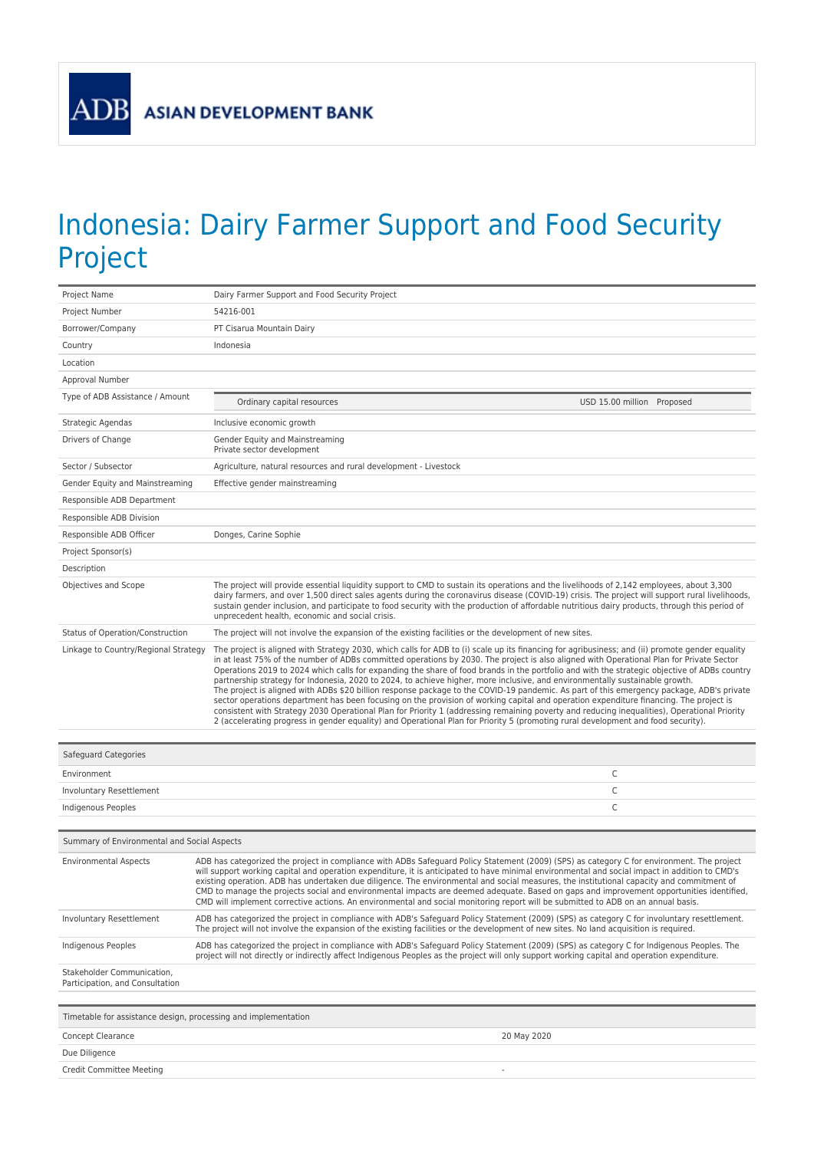ADB

## Indonesia: Dairy Farmer Support and Food Security Project

| Project Name                                                   | Dairy Farmer Support and Food Security Project                                                                                                                                                                                                                                                                                                                                                                                                                                                                                                                                                                                                                                                                                                                                                                                                                                                                                                                                                                                                                                                                                                          |                            |
|----------------------------------------------------------------|---------------------------------------------------------------------------------------------------------------------------------------------------------------------------------------------------------------------------------------------------------------------------------------------------------------------------------------------------------------------------------------------------------------------------------------------------------------------------------------------------------------------------------------------------------------------------------------------------------------------------------------------------------------------------------------------------------------------------------------------------------------------------------------------------------------------------------------------------------------------------------------------------------------------------------------------------------------------------------------------------------------------------------------------------------------------------------------------------------------------------------------------------------|----------------------------|
| Project Number                                                 | 54216-001                                                                                                                                                                                                                                                                                                                                                                                                                                                                                                                                                                                                                                                                                                                                                                                                                                                                                                                                                                                                                                                                                                                                               |                            |
| Borrower/Company                                               | PT Cisarua Mountain Dairy                                                                                                                                                                                                                                                                                                                                                                                                                                                                                                                                                                                                                                                                                                                                                                                                                                                                                                                                                                                                                                                                                                                               |                            |
| Country                                                        | Indonesia                                                                                                                                                                                                                                                                                                                                                                                                                                                                                                                                                                                                                                                                                                                                                                                                                                                                                                                                                                                                                                                                                                                                               |                            |
| Location                                                       |                                                                                                                                                                                                                                                                                                                                                                                                                                                                                                                                                                                                                                                                                                                                                                                                                                                                                                                                                                                                                                                                                                                                                         |                            |
| Approval Number                                                |                                                                                                                                                                                                                                                                                                                                                                                                                                                                                                                                                                                                                                                                                                                                                                                                                                                                                                                                                                                                                                                                                                                                                         |                            |
| Type of ADB Assistance / Amount                                | Ordinary capital resources                                                                                                                                                                                                                                                                                                                                                                                                                                                                                                                                                                                                                                                                                                                                                                                                                                                                                                                                                                                                                                                                                                                              | USD 15.00 million Proposed |
| Strategic Agendas                                              | Inclusive economic growth                                                                                                                                                                                                                                                                                                                                                                                                                                                                                                                                                                                                                                                                                                                                                                                                                                                                                                                                                                                                                                                                                                                               |                            |
| Drivers of Change                                              | Gender Equity and Mainstreaming<br>Private sector development                                                                                                                                                                                                                                                                                                                                                                                                                                                                                                                                                                                                                                                                                                                                                                                                                                                                                                                                                                                                                                                                                           |                            |
| Sector / Subsector                                             | Agriculture, natural resources and rural development - Livestock                                                                                                                                                                                                                                                                                                                                                                                                                                                                                                                                                                                                                                                                                                                                                                                                                                                                                                                                                                                                                                                                                        |                            |
| Gender Equity and Mainstreaming                                | Effective gender mainstreaming                                                                                                                                                                                                                                                                                                                                                                                                                                                                                                                                                                                                                                                                                                                                                                                                                                                                                                                                                                                                                                                                                                                          |                            |
| Responsible ADB Department                                     |                                                                                                                                                                                                                                                                                                                                                                                                                                                                                                                                                                                                                                                                                                                                                                                                                                                                                                                                                                                                                                                                                                                                                         |                            |
| Responsible ADB Division                                       |                                                                                                                                                                                                                                                                                                                                                                                                                                                                                                                                                                                                                                                                                                                                                                                                                                                                                                                                                                                                                                                                                                                                                         |                            |
| Responsible ADB Officer                                        | Donges, Carine Sophie                                                                                                                                                                                                                                                                                                                                                                                                                                                                                                                                                                                                                                                                                                                                                                                                                                                                                                                                                                                                                                                                                                                                   |                            |
| Project Sponsor(s)                                             |                                                                                                                                                                                                                                                                                                                                                                                                                                                                                                                                                                                                                                                                                                                                                                                                                                                                                                                                                                                                                                                                                                                                                         |                            |
| Description                                                    |                                                                                                                                                                                                                                                                                                                                                                                                                                                                                                                                                                                                                                                                                                                                                                                                                                                                                                                                                                                                                                                                                                                                                         |                            |
| Objectives and Scope                                           | The project will provide essential liquidity support to CMD to sustain its operations and the livelihoods of 2,142 employees, about 3,300<br>dairy farmers, and over 1,500 direct sales agents during the coronavirus disease (COVID-19) crisis. The project will support rural livelihoods,<br>sustain gender inclusion, and participate to food security with the production of affordable nutritious dairy products, through this period of<br>unprecedent health, economic and social crisis.                                                                                                                                                                                                                                                                                                                                                                                                                                                                                                                                                                                                                                                       |                            |
| Status of Operation/Construction                               | The project will not involve the expansion of the existing facilities or the development of new sites.                                                                                                                                                                                                                                                                                                                                                                                                                                                                                                                                                                                                                                                                                                                                                                                                                                                                                                                                                                                                                                                  |                            |
| Linkage to Country/Regional Strategy                           | The project is aligned with Strategy 2030, which calls for ADB to (i) scale up its financing for agribusiness; and (ii) promote gender equality<br>in at least 75% of the number of ADBs committed operations by 2030. The project is also aligned with Operational Plan for Private Sector<br>Operations 2019 to 2024 which calls for expanding the share of food brands in the portfolio and with the strategic objective of ADBs country<br>partnership strategy for Indonesia, 2020 to 2024, to achieve higher, more inclusive, and environmentally sustainable growth.<br>The project is aligned with ADBs \$20 billion response package to the COVID-19 pandemic. As part of this emergency package, ADB's private<br>sector operations department has been focusing on the provision of working capital and operation expenditure financing. The project is<br>consistent with Strategy 2030 Operational Plan for Priority 1 (addressing remaining poverty and reducing inequalities), Operational Priority<br>2 (accelerating progress in gender equality) and Operational Plan for Priority 5 (promoting rural development and food security). |                            |
| Safeguard Categories                                           |                                                                                                                                                                                                                                                                                                                                                                                                                                                                                                                                                                                                                                                                                                                                                                                                                                                                                                                                                                                                                                                                                                                                                         |                            |
| Environment                                                    |                                                                                                                                                                                                                                                                                                                                                                                                                                                                                                                                                                                                                                                                                                                                                                                                                                                                                                                                                                                                                                                                                                                                                         | C                          |
| Involuntary Resettlement                                       |                                                                                                                                                                                                                                                                                                                                                                                                                                                                                                                                                                                                                                                                                                                                                                                                                                                                                                                                                                                                                                                                                                                                                         | C                          |
| <b>Indigenous Peoples</b>                                      |                                                                                                                                                                                                                                                                                                                                                                                                                                                                                                                                                                                                                                                                                                                                                                                                                                                                                                                                                                                                                                                                                                                                                         | C                          |
|                                                                |                                                                                                                                                                                                                                                                                                                                                                                                                                                                                                                                                                                                                                                                                                                                                                                                                                                                                                                                                                                                                                                                                                                                                         |                            |
| Summary of Environmental and Social Aspects                    |                                                                                                                                                                                                                                                                                                                                                                                                                                                                                                                                                                                                                                                                                                                                                                                                                                                                                                                                                                                                                                                                                                                                                         |                            |
| <b>Environmental Aspects</b>                                   | ADB has categorized the project in compliance with ADBs Safeguard Policy Statement (2009) (SPS) as category C for environment. The project<br>will support working capital and operation expenditure, it is anticipated to have minimal environmental and social impact in addition to CMD's<br>existing operation. ADB has undertaken due diligence. The environmental and social measures, the institutional capacity and commitment of<br>CMD to manage the projects social and environmental impacts are deemed adequate. Based on gaps and improvement opportunities identified,<br>CMD will implement corrective actions. An environmental and social monitoring report will be submitted to ADB on an annual basis.                                                                                                                                                                                                                                                                                                                                                                                                                              |                            |
| Involuntary Resettlement                                       | ADB has categorized the project in compliance with ADB's Safeguard Policy Statement (2009) (SPS) as category C for involuntary resettlement.<br>The project will not involve the expansion of the existing facilities or the development of new sites. No land acquisition is required.                                                                                                                                                                                                                                                                                                                                                                                                                                                                                                                                                                                                                                                                                                                                                                                                                                                                 |                            |
| Indigenous Peoples                                             | ADB has categorized the project in compliance with ADB's Safeguard Policy Statement (2009) (SPS) as category C for Indigenous Peoples. The<br>project will not directly or indirectly affect Indigenous Peoples as the project will only support working capital and operation expenditure.                                                                                                                                                                                                                                                                                                                                                                                                                                                                                                                                                                                                                                                                                                                                                                                                                                                             |                            |
| Stakeholder Communication,<br>Participation, and Consultation  |                                                                                                                                                                                                                                                                                                                                                                                                                                                                                                                                                                                                                                                                                                                                                                                                                                                                                                                                                                                                                                                                                                                                                         |                            |
|                                                                |                                                                                                                                                                                                                                                                                                                                                                                                                                                                                                                                                                                                                                                                                                                                                                                                                                                                                                                                                                                                                                                                                                                                                         |                            |
| Timetable for assistance design, processing and implementation |                                                                                                                                                                                                                                                                                                                                                                                                                                                                                                                                                                                                                                                                                                                                                                                                                                                                                                                                                                                                                                                                                                                                                         |                            |
| <b>Concept Clearance</b>                                       | 20 May 2020                                                                                                                                                                                                                                                                                                                                                                                                                                                                                                                                                                                                                                                                                                                                                                                                                                                                                                                                                                                                                                                                                                                                             |                            |

Due Diligence

Credit Committee Meeting -